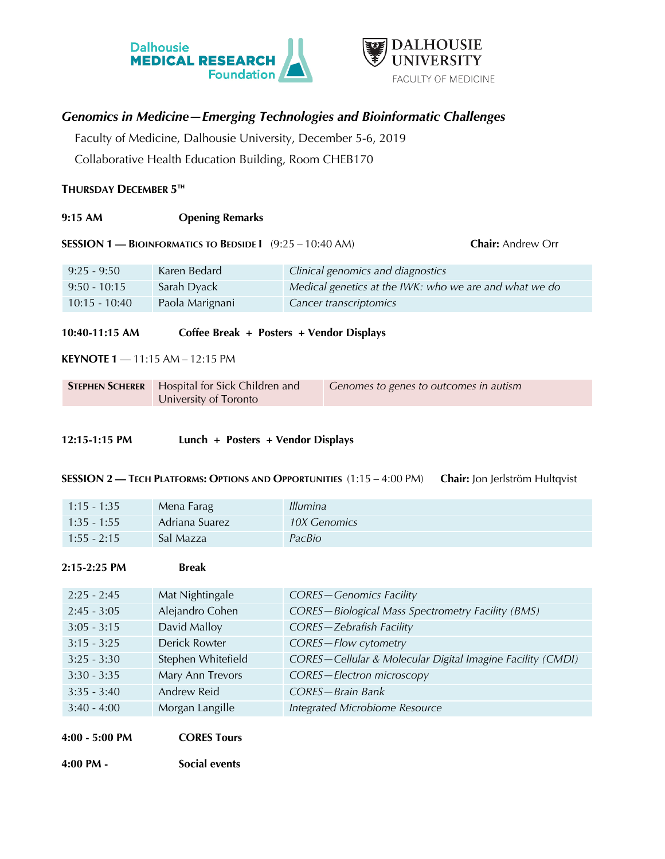



# *Genomics in Medicine—Emerging Technologies and Bioinformatic Challenges*

Faculty of Medicine, Dalhousie University, December 5-6, 2019

Collaborative Health Education Building, Room CHEB170

## **THURSDAY DECEMBER 5TH**

**9:15 AM Opening Remarks**

**SESSION 1 — BIOINFORMATICS TO BEDSIDE I** (9:25 – 10:40 AM) **Chair:** Andrew Orr

| $9:25 - 9:50$   | Karen Bedard    | Clinical genomics and diagnostics                      |
|-----------------|-----------------|--------------------------------------------------------|
| $9:50 - 10:15$  | Sarah Dyack     | Medical genetics at the IWK: who we are and what we do |
| $10:15 - 10:40$ | Paola Marignani | Cancer transcriptomics                                 |

**10:40-11:15 AM Coffee Break + Posters + Vendor Displays**

**KEYNOTE 1** — 11:15 AM – 12:15 PM

| <b>STEPHEN SCHERER</b>   Hospital for Sick Children and | Cenomes to genes to outcomes in autism |
|---------------------------------------------------------|----------------------------------------|
| University of Toronto                                   |                                        |

### **12:15-1:15 PM Lunch + Posters + Vendor Displays**

**SESSION 2 — TECH PLATFORMS: OPTIONS AND OPPORTUNITIES** (1:15 – 4:00 PM) **Chair:** Jon Jerlström Hultqvist

| $1:15 - 1:35$ | Mena Farag     | <i>Illumina</i> |
|---------------|----------------|-----------------|
| $1:35 - 1:55$ | Adriana Suarez | 10X Genomics    |
| $1:55 - 2:15$ | 'Sal Mazza     | PacBio          |

#### **2:15-2:25 PM Break**

| $2:25 - 2:45$ | Mat Nightingale    | <b>CORES-Genomics Facility</b>                             |
|---------------|--------------------|------------------------------------------------------------|
| $2:45 - 3:05$ | Alejandro Cohen    | CORES-Biological Mass Spectrometry Facility (BMS)          |
| $3:05 - 3:15$ | David Malloy       | <b>CORES-Zebrafish Facility</b>                            |
| $3:15 - 3:25$ | Derick Rowter      | CORES-Flow cytometry                                       |
| $3:25 - 3:30$ | Stephen Whitefield | CORES-Cellular & Molecular Digital Imagine Facility (CMDI) |
| $3:30 - 3:35$ | Mary Ann Trevors   | CORES-Electron microscopy                                  |
| $3:35 - 3:40$ | Andrew Reid        | CORES-Brain Bank                                           |
| $3:40 - 4:00$ | Morgan Langille    | Integrated Microbiome Resource                             |

**4:00 - 5:00 PM CORES Tours**

**4:00 PM - Social events**